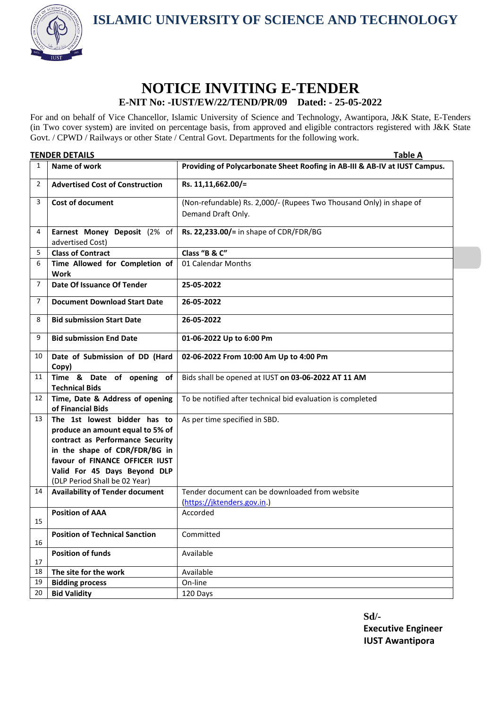**ISLAMIC UNIVERSITY OF SCIENCE AND TECHNOLOGY**



## **NOTICE INVITING E-TENDER E-NIT No: -IUST/EW/22/TEND/PR/09 Dated: - 25-05-2022**

For and on behalf of Vice Chancellor, Islamic University of Science and Technology, Awantipora, J&K State, E-Tenders (in Two cover system) are invited on percentage basis, from approved and eligible contractors registered with J&K State Govt. / CPWD / Railways or other State / Central Govt. Departments for the following work.

| <b>TENDER DETAILS</b> |                                                                 | <b>Table A</b>                                                             |
|-----------------------|-----------------------------------------------------------------|----------------------------------------------------------------------------|
| 1                     | Name of work                                                    | Providing of Polycarbonate Sheet Roofing in AB-III & AB-IV at IUST Campus. |
| 2                     | <b>Advertised Cost of Construction</b>                          | Rs. 11,11,662.00/=                                                         |
| 3                     | <b>Cost of document</b>                                         | (Non-refundable) Rs. 2,000/- (Rupees Two Thousand Only) in shape of        |
|                       |                                                                 | Demand Draft Only.                                                         |
| 4                     | Earnest Money Deposit (2% of<br>advertised Cost)                | Rs. 22,233.00/= in shape of CDR/FDR/BG                                     |
| 5                     | <b>Class of Contract</b>                                        | Class "B & C"                                                              |
| 6                     | Time Allowed for Completion of<br><b>Work</b>                   | 01 Calendar Months                                                         |
| $\overline{7}$        | Date Of Issuance Of Tender                                      | 25-05-2022                                                                 |
| 7                     | <b>Document Download Start Date</b>                             | 26-05-2022                                                                 |
| 8                     | <b>Bid submission Start Date</b>                                | 26-05-2022                                                                 |
| 9                     | <b>Bid submission End Date</b>                                  | 01-06-2022 Up to 6:00 Pm                                                   |
| 10                    | Date of Submission of DD (Hard<br>Copy)                         | 02-06-2022 From 10:00 Am Up to 4:00 Pm                                     |
| 11                    | Time & Date of opening of<br><b>Technical Bids</b>              | Bids shall be opened at IUST on 03-06-2022 AT 11 AM                        |
| 12                    | Time, Date & Address of opening<br>of Financial Bids            | To be notified after technical bid evaluation is completed                 |
| 13                    | The 1st lowest bidder has to                                    | As per time specified in SBD.                                              |
|                       | produce an amount equal to 5% of                                |                                                                            |
|                       | contract as Performance Security                                |                                                                            |
|                       | in the shape of CDR/FDR/BG in<br>favour of FINANCE OFFICER IUST |                                                                            |
|                       | Valid For 45 Days Beyond DLP                                    |                                                                            |
|                       | (DLP Period Shall be 02 Year)                                   |                                                                            |
| 14                    | <b>Availability of Tender document</b>                          | Tender document can be downloaded from website                             |
|                       |                                                                 | (https://jktenders.gov.in.)                                                |
| 15                    | <b>Position of AAA</b>                                          | Accorded                                                                   |
| 16                    | <b>Position of Technical Sanction</b>                           | Committed                                                                  |
| 17                    | <b>Position of funds</b>                                        | Available                                                                  |
| 18                    | The site for the work                                           | Available                                                                  |
| 19                    | <b>Bidding process</b>                                          | On-line                                                                    |
| 20                    | <b>Bid Validity</b>                                             | 120 Days                                                                   |